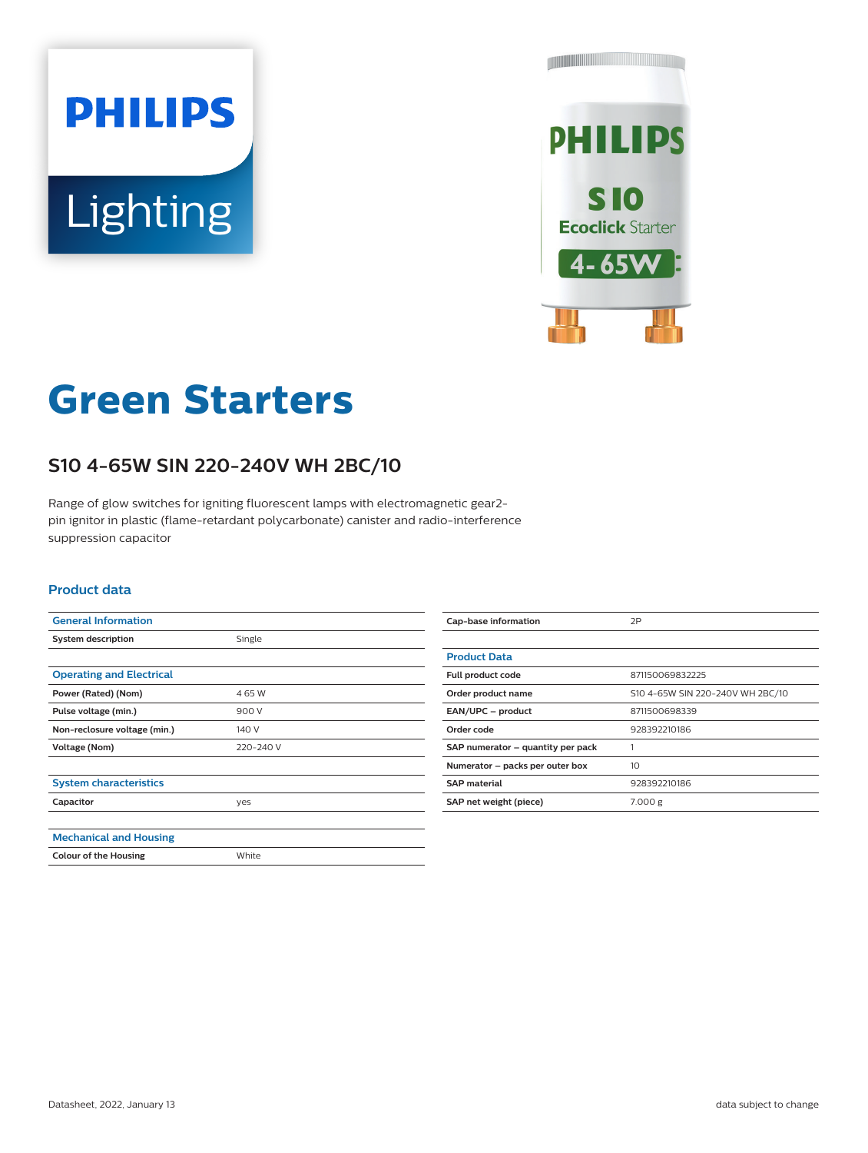# **PHILIPS** Lighting



# **Green Starters**

## **S10 4-65W SIN 220-240V WH 2BC/10**

Range of glow switches for igniting fluorescent lamps with electromagnetic gear2 pin ignitor in plastic (flame-retardant polycarbonate) canister and radio-interference suppression capacitor

#### **Product data**

| <b>General Information</b>      |           |
|---------------------------------|-----------|
| <b>System description</b>       | Single    |
|                                 |           |
| <b>Operating and Electrical</b> |           |
| Power (Rated) (Nom)             | 465W      |
| Pulse voltage (min.)            | 900 V     |
| Non-reclosure voltage (min.)    | 140 V     |
| Voltage (Nom)                   | 220-240 V |
|                                 |           |
| <b>System characteristics</b>   |           |
| Capacitor                       | yes       |
|                                 |           |
| <b>Mechanical and Housing</b>   |           |
| <b>Colour of the Housing</b>    | White     |

| Cap-base information              | 2P                               |  |  |
|-----------------------------------|----------------------------------|--|--|
|                                   |                                  |  |  |
| <b>Product Data</b>               |                                  |  |  |
| Full product code                 | 871150069832225                  |  |  |
| Order product name                | S10 4-65W SIN 220-240V WH 2BC/10 |  |  |
| EAN/UPC - product                 | 8711500698339                    |  |  |
| Order code                        | 928392210186                     |  |  |
| SAP numerator - quantity per pack |                                  |  |  |
| Numerator - packs per outer box   | 10 <sup>2</sup>                  |  |  |
| <b>SAP material</b>               | 928392210186                     |  |  |
| SAP net weight (piece)            | 7.000 g                          |  |  |